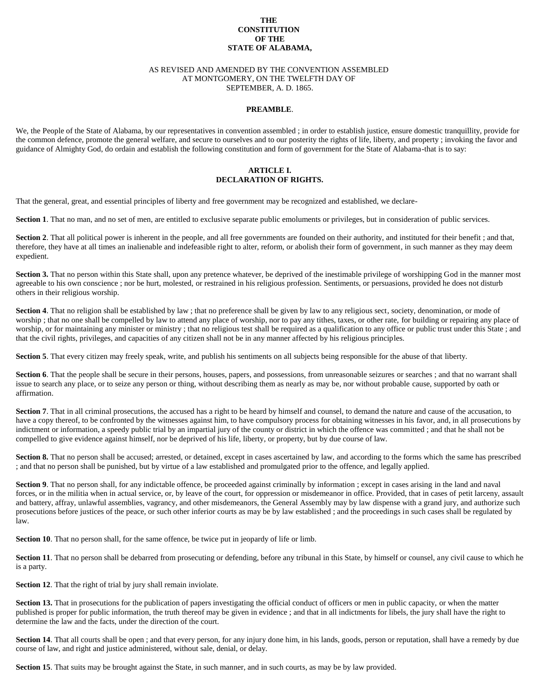### **THE CONSTITUTION OF THE STATE OF ALABAMA,**

### AS REVISED AND AMENDED BY THE CONVENTION ASSEMBLED AT MONTGOMERY, ON THE TWELFTH DAY OF SEPTEMBER, A. D. 1865.

#### **PREAMBLE**.

We, the People of the State of Alabama, by our representatives in convention assembled; in order to establish justice, ensure domestic tranquillity, provide for the common defence, promote the general welfare, and secure to ourselves and to our posterity the rights of life, liberty, and property ; invoking the favor and guidance of Almighty God, do ordain and establish the following constitution and form of government for the State of Alabama-that is to say:

### **ARTICLE I. DECLARATION OF RIGHTS.**

That the general, great, and essential principles of liberty and free government may be recognized and established, we declare-

Section 1. That no man, and no set of men, are entitled to exclusive separate public emoluments or privileges, but in consideration of public services.

Section 2. That all political power is inherent in the people, and all free governments are founded on their authority, and instituted for their benefit; and that, therefore, they have at all times an inalienable and indefeasible right to alter, reform, or abolish their form of government, in such manner as they may deem expedient.

**Section 3.** That no person within this State shall, upon any pretence whatever, be deprived of the inestimable privilege of worshipping God in the manner most agreeable to his own conscience ; nor be hurt, molested, or restrained in his religious profession. Sentiments, or persuasions, provided he does not disturb others in their religious worship.

Section 4. That no religion shall be established by law; that no preference shall be given by law to any religious sect, society, denomination, or mode of worship; that no one shall be compelled by law to attend any place of worship, nor to pay any tithes, taxes, or other rate, for building or repairing any place of worship, or for maintaining any minister or ministry ; that no religious test shall be required as a qualification to any office or public trust under this State ; and that the civil rights, privileges, and capacities of any citizen shall not be in any manner affected by his religious principles.

**Section 5**. That every citizen may freely speak, write, and publish his sentiments on all subjects being responsible for the abuse of that liberty.

Section 6. That the people shall be secure in their persons, houses, papers, and possessions, from unreasonable seizures or searches; and that no warrant shall issue to search any place, or to seize any person or thing, without describing them as nearly as may be, nor without probable cause, supported by oath or affirmation.

Section 7. That in all criminal prosecutions, the accused has a right to be heard by himself and counsel, to demand the nature and cause of the accusation, to have a copy thereof, to be confronted by the witnesses against him, to have compulsory process for obtaining witnesses in his favor, and, in all prosecutions by indictment or information, a speedy public trial by an impartial jury of the county or district in which the offence was committed ; and that he shall not be compelled to give evidence against himself, nor be deprived of his life, liberty, or property, but by due course of law.

**Section 8.** That no person shall be accused; arrested, or detained, except in cases ascertained by law, and according to the forms which the same has prescribed ; and that no person shall be punished, but by virtue of a law established and promulgated prior to the offence, and legally applied.

**Section 9.** That no person shall, for any indictable offence, be proceeded against criminally by information; except in cases arising in the land and naval forces, or in the militia when in actual service, or, by leave of the court, for oppression or misdemeanor in office. Provided, that in cases of petit larceny, assault and battery, affray, unlawful assemblies, vagrancy, and other misdemeanors, the General Assembly may by law dispense with a grand jury, and authorize such prosecutions before justices of the peace, or such other inferior courts as may be by law established ; and the proceedings in such cases shall be regulated by law.

**Section 10**. That no person shall, for the same offence, be twice put in jeopardy of life or limb.

Section 11. That no person shall be debarred from prosecuting or defending, before any tribunal in this State, by himself or counsel, any civil cause to which he is a party.

**Section 12**. That the right of trial by jury shall remain inviolate.

**Section 13.** That in prosecutions for the publication of papers investigating the official conduct of officers or men in public capacity, or when the matter published is proper for public information, the truth thereof may be given in evidence ; and that in all indictments for libels, the jury shall have the right to determine the law and the facts, under the direction of the court.

Section 14. That all courts shall be open; and that every person, for any injury done him, in his lands, goods, person or reputation, shall have a remedy by due course of law, and right and justice administered, without sale, denial, or delay.

**Section 15**. That suits may be brought against the State, in such manner, and in such courts, as may be by law provided.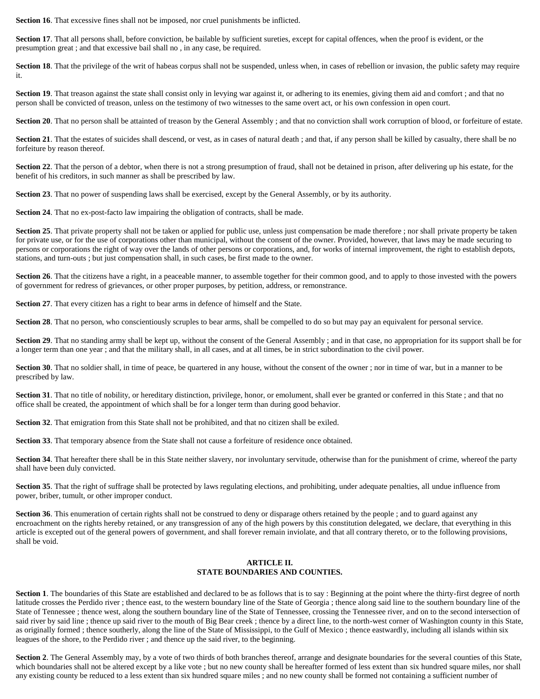**Section 16**. That excessive fines shall not be imposed, nor cruel punishments be inflicted.

Section 17. That all persons shall, before conviction, be bailable by sufficient sureties, except for capital offences, when the proof is evident, or the presumption great ; and that excessive bail shall no , in any case, be required.

Section 18. That the privilege of the writ of habeas corpus shall not be suspended, unless when, in cases of rebellion or invasion, the public safety may require it.

**Section 19**. That treason against the state shall consist only in levying war against it, or adhering to its enemies, giving them aid and comfort; and that no person shall be convicted of treason, unless on the testimony of two witnesses to the same overt act, or his own confession in open court.

Section 20. That no person shall be attainted of treason by the General Assembly; and that no conviction shall work corruption of blood, or forfeiture of estate.

Section 21. That the estates of suicides shall descend, or vest, as in cases of natural death; and that, if any person shall be killed by casualty, there shall be no forfeiture by reason thereof.

**Section 22.** That the person of a debtor, when there is not a strong presumption of fraud, shall not be detained in prison, after delivering up his estate, for the benefit of his creditors, in such manner as shall be prescribed by law.

**Section 23**. That no power of suspending laws shall be exercised, except by the General Assembly, or by its authority.

**Section 24**. That no ex-post-facto law impairing the obligation of contracts, shall be made.

Section 25. That private property shall not be taken or applied for public use, unless just compensation be made therefore ; nor shall private property be taken for private use, or for the use of corporations other than municipal, without the consent of the owner. Provided, however, that laws may be made securing to persons or corporations the right of way over the lands of other persons or corporations, and, for works of internal improvement, the right to establish depots, stations, and turn-outs ; but just compensation shall, in such cases, be first made to the owner.

Section 26. That the citizens have a right, in a peaceable manner, to assemble together for their common good, and to apply to those invested with the powers of government for redress of grievances, or other proper purposes, by petition, address, or remonstrance.

**Section 27**. That every citizen has a right to bear arms in defence of himself and the State.

**Section 28**. That no person, who conscientiously scruples to bear arms, shall be compelled to do so but may pay an equivalent for personal service.

Section 29. That no standing army shall be kept up, without the consent of the General Assembly; and in that case, no appropriation for its support shall be for a longer term than one year ; and that the military shall, in all cases, and at all times, be in strict subordination to the civil power.

Section 30. That no soldier shall, in time of peace, be quartered in any house, without the consent of the owner; nor in time of war, but in a manner to be prescribed by law.

Section 31. That no title of nobility, or hereditary distinction, privilege, honor, or emolument, shall ever be granted or conferred in this State; and that no office shall be created, the appointment of which shall be for a longer term than during good behavior.

**Section 32**. That emigration from this State shall not be prohibited, and that no citizen shall be exiled.

**Section 33**. That temporary absence from the State shall not cause a forfeiture of residence once obtained.

**Section 34**. That hereafter there shall be in this State neither slavery, nor involuntary servitude, otherwise than for the punishment of crime, whereof the party shall have been duly convicted.

**Section 35**. That the right of suffrage shall be protected by laws regulating elections, and prohibiting, under adequate penalties, all undue influence from power, briber, tumult, or other improper conduct.

Section 36. This enumeration of certain rights shall not be construed to deny or disparage others retained by the people; and to guard against any encroachment on the rights hereby retained, or any transgression of any of the high powers by this constitution delegated, we declare, that everything in this article is excepted out of the general powers of government, and shall forever remain inviolate, and that all contrary thereto, or to the following provisions, shall be void.

### **ARTICLE II. STATE BOUNDARIES AND COUNTIES.**

Section 1. The boundaries of this State are established and declared to be as follows that is to say : Beginning at the point where the thirty-first degree of north latitude crosses the Perdido river ; thence east, to the western boundary line of the State of Georgia ; thence along said line to the southern boundary line of the State of Tennessee ; thence west, along the southern boundary line of the State of Tennessee, crossing the Tennessee river, and on to the second intersection of said river by said line ; thence up said river to the mouth of Big Bear creek ; thence by a direct line, to the north-west corner of Washington county in this State, as originally formed ; thence southerly, along the line of the State of Mississippi, to the Gulf of Mexico ; thence eastwardly, including all islands within six leagues of the shore, to the Perdido river ; and thence up the said river, to the beginning.

Section 2. The General Assembly may, by a vote of two thirds of both branches thereof, arrange and designate boundaries for the several counties of this State, which boundaries shall not be altered except by a like vote; but no new county shall be hereafter formed of less extent than six hundred square miles, nor shall any existing county be reduced to a less extent than six hundred square miles ; and no new county shall be formed not containing a sufficient number of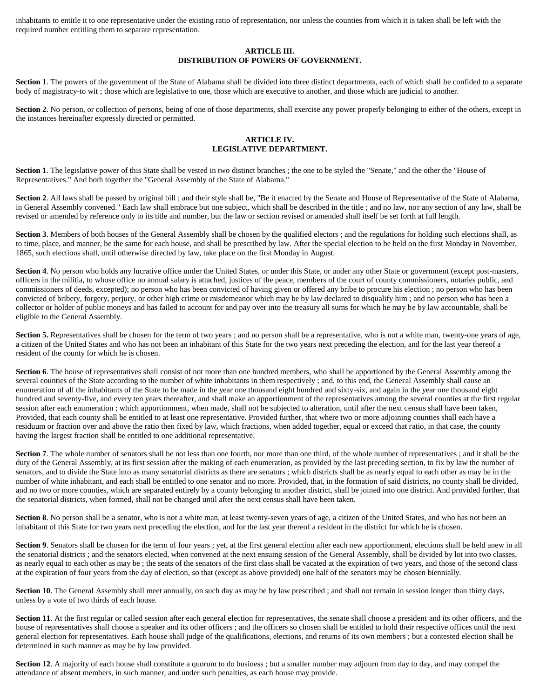inhabitants to entitle it to one representative under the existing ratio of representation, nor unless the counties from which it is taken shall be left with the required number entitling them to separate representation.

# **ARTICLE III. DISTRIBUTION OF POWERS OF GOVERNMENT.**

Section 1. The powers of the government of the State of Alabama shall be divided into three distinct departments, each of which shall be confided to a separate body of magistracy-to wit ; those which are legislative to one, those which are executive to another, and those which are judicial to another.

**Section 2.** No person, or collection of persons, being of one of those departments, shall exercise any power properly belonging to either of the others, except in the instances hereinafter expressly directed or permitted.

# **ARTICLE IV. LEGISLATIVE DEPARTMENT.**

**Section 1**. The legislative power of this State shall be vested in two distinct branches ; the one to be styled the "Senate," and the other the "House of Representatives." And both together the "General Assembly of the State of Alabama."

Section 2. All laws shall be passed by original bill; and their style shall be, "Be it enacted by the Senate and House of Representative of the State of Alabama, in General Assembly convened." Each law shall embrace but one subject, which shall be described in the title ; and no law, nor any section of any law, shall be revised or amended by reference only to its title and number, but the law or section revised or amended shall itself be set forth at full length.

**Section 3**. Members of both houses of the General Assembly shall be chosen by the qualified electors; and the regulations for holding such elections shall, as to time, place, and manner, be the same for each house, and shall be prescribed by law. After the special election to be held on the first Monday in November, 1865, such elections shall, until otherwise directed by law, take place on the first Monday in August.

Section 4. No person who holds any lucrative office under the United States, or under this State, or under any other State or government (except post-masters, officers in the militia, to whose office no annual salary is attached, justices of the peace, members of the court of county commissioners, notaries public, and commissioners of deeds, excepted); no person who has been convicted of having given or offered any bribe to procure his election ; no person who has been convicted of bribery, forgery, perjury, or other high crime or misdemeanor which may be by law declared to disqualify him ; and no person who has been a collector or holder of public moneys and has failed to account for and pay over into the treasury all sums for which he may be by law accountable, shall be eligible to the General Assembly.

Section 5. Representatives shall be chosen for the term of two years; and no person shall be a representative, who is not a white man, twenty-one years of age, a citizen of the United States and who has not been an inhabitant of this State for the two years next preceding the election, and for the last year thereof a resident of the county for which he is chosen.

Section 6. The house of representatives shall consist of not more than one hundred members, who shall be apportioned by the General Assembly among the several counties of the State according to the number of white inhabitants in them respectively; and, to this end, the General Assembly shall cause an enumeration of all the inhabitants of the State to be made in the year one thousand eight hundred and sixty-six, and again in the year one thousand eight hundred and seventy-five, and every ten years thereafter, and shall make an apportionment of the representatives among the several counties at the first regular session after each enumeration ; which apportionment, when made, shall not be subjected to alteration, until after the next census shall have been taken, Provided, that each county shall be entitled to at least one representative. Provided further, that where two or more adjoining counties shall each have a residuum or fraction over and above the ratio then fixed by law, which fractions, when added together, equal or exceed that ratio, in that case, the county having the largest fraction shall be entitled to one additional representative.

Section 7. The whole number of senators shall be not less than one fourth, nor more than one third, of the whole number of representatives; and it shall be the duty of the General Assembly, at its first session after the making of each enumeration, as provided by the last preceding section, to fix by law the number of senators, and to divide the State into as many senatorial districts as there are senators ; which districts shall be as nearly equal to each other as may be in the number of white inhabitant, and each shall be entitled to one senator and no more. Provided, that, in the formation of said districts, no county shall be divided, and no two or more counties, which are separated entirely by a county belonging to another district, shall be joined into one district. And provided further, that the senatorial districts, when formed, shall not be changed until after the next census shall have been taken.

Section 8. No person shall be a senator, who is not a white man, at least twenty-seven years of age, a citizen of the United States, and who has not been an inhabitant of this State for two years next preceding the election, and for the last year thereof a resident in the district for which he is chosen.

Section 9. Senators shall be chosen for the term of four years; yet, at the first general election after each new apportionment, elections shall be held anew in all the senatorial districts ; and the senators elected, when convened at the next ensuing session of the General Assembly, shall be divided by lot into two classes, as nearly equal to each other as may be ; the seats of the senators of the first class shall be vacated at the expiration of two years, and those of the second class at the expiration of four years from the day of election, so that (except as above provided) one half of the senators may be chosen biennially.

Section 10. The General Assembly shall meet annually, on such day as may be by law prescribed; and shall not remain in session longer than thirty days, unless by a vote of two thirds of each house.

Section 11. At the first regular or called session after each general election for representatives, the senate shall choose a president and its other officers, and the house of representatives shall choose a speaker and its other officers ; and the officers so chosen shall be entitled to hold their respective offices until the next general election for representatives. Each house shall judge of the qualifications, elections, and returns of its own members ; but a contested election shall be determined in such manner as may be by law provided.

**Section 12.** A majority of each house shall constitute a quorum to do business; but a smaller number may adjourn from day to day, and may compel the attendance of absent members, in such manner, and under such penalties, as each house may provide.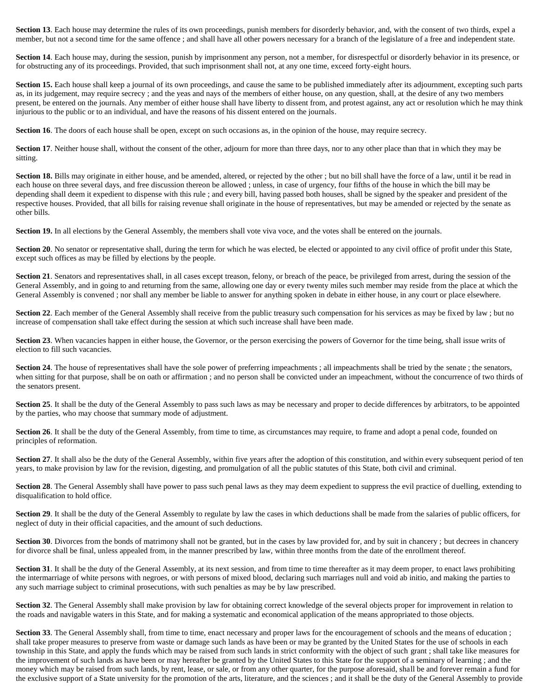Section 13. Each house may determine the rules of its own proceedings, punish members for disorderly behavior, and, with the consent of two thirds, expel a member, but not a second time for the same offence ; and shall have all other powers necessary for a branch of the legislature of a free and independent state.

Section 14. Each house may, during the session, punish by imprisonment any person, not a member, for disrespectful or disorderly behavior in its presence, or for obstructing any of its proceedings. Provided, that such imprisonment shall not, at any one time, exceed forty-eight hours.

Section 15. Each house shall keep a journal of its own proceedings, and cause the same to be published immediately after its adjournment, excepting such parts as, in its judgement, may require secrecy ; and the yeas and nays of the members of either house, on any question, shall, at the desire of any two members present, be entered on the journals. Any member of either house shall have liberty to dissent from, and protest against, any act or resolution which he may think injurious to the public or to an individual, and have the reasons of his dissent entered on the journals.

**Section 16**. The doors of each house shall be open, except on such occasions as, in the opinion of the house, may require secrecy.

**Section 17**. Neither house shall, without the consent of the other, adjourn for more than three days, nor to any other place than that in which they may be sitting.

Section 18. Bills may originate in either house, and be amended, altered, or rejected by the other; but no bill shall have the force of a law, until it be read in each house on three several days, and free discussion thereon be allowed ; unless, in case of urgency, four fifths of the house in which the bill may be depending shall deem it expedient to dispense with this rule ; and every bill, having passed both houses, shall be signed by the speaker and president of the respective houses. Provided, that all bills for raising revenue shall originate in the house of representatives, but may be amended or rejected by the senate as other bills.

**Section 19.** In all elections by the General Assembly, the members shall vote viva voce, and the votes shall be entered on the journals.

**Section 20**. No senator or representative shall, during the term for which he was elected, be elected or appointed to any civil office of profit under this State, except such offices as may be filled by elections by the people.

Section 21. Senators and representatives shall, in all cases except treason, felony, or breach of the peace, be privileged from arrest, during the session of the General Assembly, and in going to and returning from the same, allowing one day or every twenty miles such member may reside from the place at which the General Assembly is convened ; nor shall any member be liable to answer for anything spoken in debate in either house, in any court or place elsewhere.

Section 22. Each member of the General Assembly shall receive from the public treasury such compensation for his services as may be fixed by law; but no increase of compensation shall take effect during the session at which such increase shall have been made.

Section 23. When vacancies happen in either house, the Governor, or the person exercising the powers of Governor for the time being, shall issue writs of election to fill such vacancies.

Section 24. The house of representatives shall have the sole power of preferring impeachments; all impeachments shall be tried by the senate; the senators, when sitting for that purpose, shall be on oath or affirmation; and no person shall be convicted under an impeachment, without the concurrence of two thirds of the senators present.

**Section 25**. It shall be the duty of the General Assembly to pass such laws as may be necessary and proper to decide differences by arbitrators, to be appointed by the parties, who may choose that summary mode of adjustment.

Section 26. It shall be the duty of the General Assembly, from time to time, as circumstances may require, to frame and adopt a penal code, founded on principles of reformation.

**Section 27**. It shall also be the duty of the General Assembly, within five years after the adoption of this constitution, and within every subsequent period of ten years, to make provision by law for the revision, digesting, and promulgation of all the public statutes of this State, both civil and criminal.

**Section 28**. The General Assembly shall have power to pass such penal laws as they may deem expedient to suppress the evil practice of duelling, extending to disqualification to hold office.

Section 29. It shall be the duty of the General Assembly to regulate by law the cases in which deductions shall be made from the salaries of public officers, for neglect of duty in their official capacities, and the amount of such deductions.

Section 30. Divorces from the bonds of matrimony shall not be granted, but in the cases by law provided for, and by suit in chancery; but decrees in chancery for divorce shall be final, unless appealed from, in the manner prescribed by law, within three months from the date of the enrollment thereof.

Section 31. It shall be the duty of the General Assembly, at its next session, and from time to time thereafter as it may deem proper, to enact laws prohibiting the intermarriage of white persons with negroes, or with persons of mixed blood, declaring such marriages null and void ab initio, and making the parties to any such marriage subject to criminal prosecutions, with such penalties as may be by law prescribed.

**Section 32**. The General Assembly shall make provision by law for obtaining correct knowledge of the several objects proper for improvement in relation to the roads and navigable waters in this State, and for making a systematic and economical application of the means appropriated to those objects.

Section 33. The General Assembly shall, from time to time, enact necessary and proper laws for the encouragement of schools and the means of education; shall take proper measures to preserve from waste or damage such lands as have been or may be granted by the United States for the use of schools in each township in this State, and apply the funds which may be raised from such lands in strict conformity with the object of such grant ; shall take like measures for the improvement of such lands as have been or may hereafter be granted by the United States to this State for the support of a seminary of learning ; and the money which may be raised from such lands, by rent, lease, or sale, or from any other quarter, for the purpose aforesaid, shall be and forever remain a fund for the exclusive support of a State university for the promotion of the arts, literature, and the sciences ; and it shall be the duty of the General Assembly to provide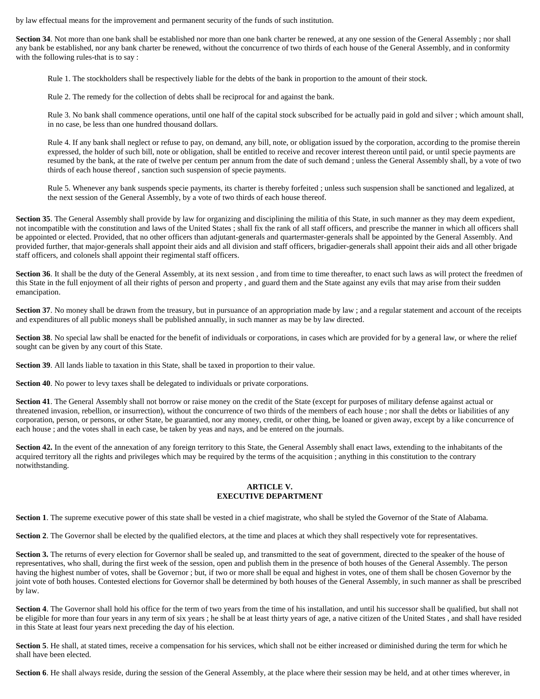by law effectual means for the improvement and permanent security of the funds of such institution.

Section 34. Not more than one bank shall be established nor more than one bank charter be renewed, at any one session of the General Assembly; nor shall any bank be established, nor any bank charter be renewed, without the concurrence of two thirds of each house of the General Assembly, and in conformity with the following rules-that is to say :

Rule 1. The stockholders shall be respectively liable for the debts of the bank in proportion to the amount of their stock.

Rule 2. The remedy for the collection of debts shall be reciprocal for and against the bank.

Rule 3. No bank shall commence operations, until one half of the capital stock subscribed for be actually paid in gold and silver ; which amount shall, in no case, be less than one hundred thousand dollars.

Rule 4. If any bank shall neglect or refuse to pay, on demand, any bill, note, or obligation issued by the corporation, according to the promise therein expressed, the holder of such bill, note or obligation, shall be entitled to receive and recover interest thereon until paid, or until specie payments are resumed by the bank, at the rate of twelve per centum per annum from the date of such demand ; unless the General Assembly shall, by a vote of two thirds of each house thereof , sanction such suspension of specie payments.

Rule 5. Whenever any bank suspends specie payments, its charter is thereby forfeited ; unless such suspension shall be sanctioned and legalized, at the next session of the General Assembly, by a vote of two thirds of each house thereof.

Section 35. The General Assembly shall provide by law for organizing and disciplining the militia of this State, in such manner as they may deem expedient, not incompatible with the constitution and laws of the United States ; shall fix the rank of all staff officers, and prescribe the manner in which all officers shall be appointed or elected. Provided, that no other officers than adjutant-generals and quartermaster-generals shall be appointed by the General Assembly. And provided further, that major-generals shall appoint their aids and all division and staff officers, brigadier-generals shall appoint their aids and all other brigade staff officers, and colonels shall appoint their regimental staff officers.

Section 36. It shall be the duty of the General Assembly, at its next session, and from time to time thereafter, to enact such laws as will protect the freedmen of this State in the full enjoyment of all their rights of person and property , and guard them and the State against any evils that may arise from their sudden emancipation.

Section 37. No money shall be drawn from the treasury, but in pursuance of an appropriation made by law; and a regular statement and account of the receipts and expenditures of all public moneys shall be published annually, in such manner as may be by law directed.

**Section 38**. No special law shall be enacted for the benefit of individuals or corporations, in cases which are provided for by a general law, or where the relief sought can be given by any court of this State.

**Section 39**. All lands liable to taxation in this State, shall be taxed in proportion to their value.

**Section 40**. No power to levy taxes shall be delegated to individuals or private corporations.

**Section 41**. The General Assembly shall not borrow or raise money on the credit of the State (except for purposes of military defense against actual or threatened invasion, rebellion, or insurrection), without the concurrence of two thirds of the members of each house ; nor shall the debts or liabilities of any corporation, person, or persons, or other State, be guarantied, nor any money, credit, or other thing, be loaned or given away, except by a like concurrence of each house ; and the votes shall in each case, be taken by yeas and nays, and be entered on the journals.

**Section 42.** In the event of the annexation of any foreign territory to this State, the General Assembly shall enact laws, extending to the inhabitants of the acquired territory all the rights and privileges which may be required by the terms of the acquisition ; anything in this constitution to the contrary notwithstanding.

### **ARTICLE V. EXECUTIVE DEPARTMENT**

**Section 1**. The supreme executive power of this state shall be vested in a chief magistrate, who shall be styled the Governor of the State of Alabama.

Section 2. The Governor shall be elected by the qualified electors, at the time and places at which they shall respectively vote for representatives.

Section 3. The returns of every election for Governor shall be sealed up, and transmitted to the seat of government, directed to the speaker of the house of representatives, who shall, during the first week of the session, open and publish them in the presence of both houses of the General Assembly. The person having the highest number of votes, shall be Governor; but, if two or more shall be equal and highest in votes, one of them shall be chosen Governor by the joint vote of both houses. Contested elections for Governor shall be determined by both houses of the General Assembly, in such manner as shall be prescribed by law.

Section 4. The Governor shall hold his office for the term of two years from the time of his installation, and until his successor shall be qualified, but shall not be eligible for more than four years in any term of six years ; he shall be at least thirty years of age, a native citizen of the United States , and shall have resided in this State at least four years next preceding the day of his election.

Section 5. He shall, at stated times, receive a compensation for his services, which shall not be either increased or diminished during the term for which he shall have been elected.

**Section 6**. He shall always reside, during the session of the General Assembly, at the place where their session may be held, and at other times wherever, in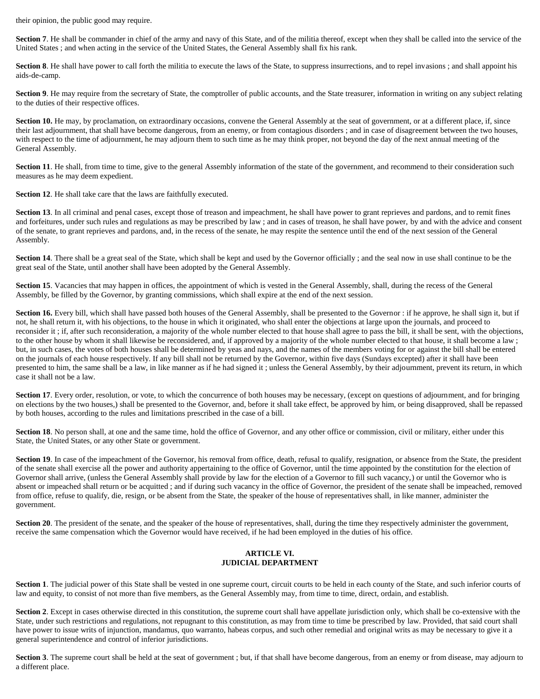their opinion, the public good may require.

Section 7. He shall be commander in chief of the army and navy of this State, and of the militia thereof, except when they shall be called into the service of the United States ; and when acting in the service of the United States, the General Assembly shall fix his rank.

Section 8. He shall have power to call forth the militia to execute the laws of the State, to suppress insurrections, and to repel invasions; and shall appoint his aids-de-camp.

Section 9. He may require from the secretary of State, the comptroller of public accounts, and the State treasurer, information in writing on any subject relating to the duties of their respective offices.

**Section 10.** He may, by proclamation, on extraordinary occasions, convene the General Assembly at the seat of government, or at a different place, if, since their last adjournment, that shall have become dangerous, from an enemy, or from contagious disorders ; and in case of disagreement between the two houses, with respect to the time of adjournment, he may adjourn them to such time as he may think proper, not beyond the day of the next annual meeting of the General Assembly.

**Section 11**. He shall, from time to time, give to the general Assembly information of the state of the government, and recommend to their consideration such measures as he may deem expedient.

**Section 12**. He shall take care that the laws are faithfully executed.

Section 13. In all criminal and penal cases, except those of treason and impeachment, he shall have power to grant reprieves and pardons, and to remit fines and forfeitures, under such rules and regulations as may be prescribed by law ; and in cases of treason, he shall have power, by and with the advice and consent of the senate, to grant reprieves and pardons, and, in the recess of the senate, he may respite the sentence until the end of the next session of the General Assembly.

Section 14. There shall be a great seal of the State, which shall be kept and used by the Governor officially; and the seal now in use shall continue to be the great seal of the State, until another shall have been adopted by the General Assembly.

Section 15. Vacancies that may happen in offices, the appointment of which is vested in the General Assembly, shall, during the recess of the General Assembly, be filled by the Governor, by granting commissions, which shall expire at the end of the next session.

Section 16. Every bill, which shall have passed both houses of the General Assembly, shall be presented to the Governor : if he approve, he shall sign it, but if not, he shall return it, with his objections, to the house in which it originated, who shall enter the objections at large upon the journals, and proceed to reconsider it; if, after such reconsideration, a majority of the whole number elected to that house shall agree to pass the bill, it shall be sent, with the objections, to the other house by whom it shall likewise be reconsidered, and, if approved by a majority of the whole number elected to that house, it shall become a law ; but, in such cases, the votes of both houses shall be determined by yeas and nays, and the names of the members voting for or against the bill shall be entered on the journals of each house respectively. If any bill shall not be returned by the Governor, within five days (Sundays excepted) after it shall have been presented to him, the same shall be a law, in like manner as if he had signed it ; unless the General Assembly, by their adjournment, prevent its return, in which case it shall not be a law.

**Section 17.** Every order, resolution, or vote, to which the concurrence of both houses may be necessary, (except on questions of adjournment, and for bringing on elections by the two houses,) shall be presented to the Governor, and, before it shall take effect, be approved by him, or being disapproved, shall be repassed by both houses, according to the rules and limitations prescribed in the case of a bill.

Section 18. No person shall, at one and the same time, hold the office of Governor, and any other office or commission, civil or military, either under this State, the United States, or any other State or government.

**Section 19.** In case of the impeachment of the Governor, his removal from office, death, refusal to qualify, resignation, or absence from the State, the president of the senate shall exercise all the power and authority appertaining to the office of Governor, until the time appointed by the constitution for the election of Governor shall arrive, (unless the General Assembly shall provide by law for the election of a Governor to fill such vacancy,) or until the Governor who is absent or impeached shall return or be acquitted ; and if during such vacancy in the office of Governor, the president of the senate shall be impeached, removed from office, refuse to qualify, die, resign, or be absent from the State, the speaker of the house of representatives shall, in like manner, administer the government.

Section 20. The president of the senate, and the speaker of the house of representatives, shall, during the time they respectively administer the government, receive the same compensation which the Governor would have received, if he had been employed in the duties of his office.

### **ARTICLE VI. JUDICIAL DEPARTMENT**

Section 1. The judicial power of this State shall be vested in one supreme court, circuit courts to be held in each county of the State, and such inferior courts of law and equity, to consist of not more than five members, as the General Assembly may, from time to time, direct, ordain, and establish.

Section 2. Except in cases otherwise directed in this constitution, the supreme court shall have appellate jurisdiction only, which shall be co-extensive with the State, under such restrictions and regulations, not repugnant to this constitution, as may from time to time be prescribed by law. Provided, that said court shall have power to issue writs of injunction, mandamus, quo warranto, habeas corpus, and such other remedial and original writs as may be necessary to give it a general superintendence and control of inferior jurisdictions.

**Section 3**. The supreme court shall be held at the seat of government; but, if that shall have become dangerous, from an enemy or from disease, may adjourn to a different place.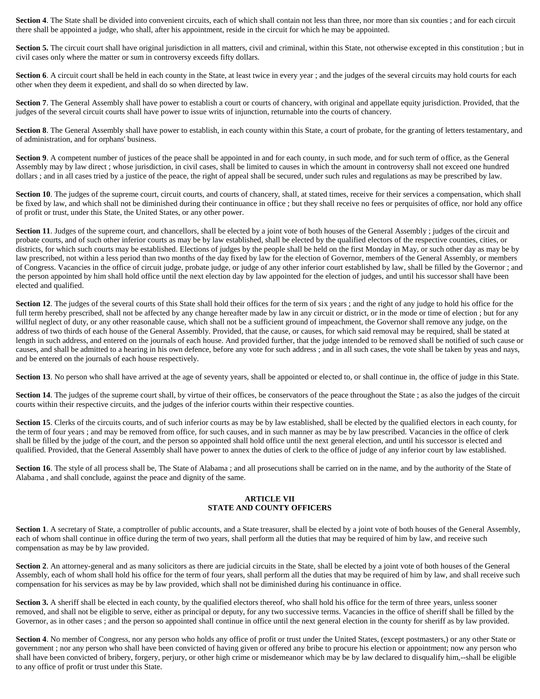Section 4. The State shall be divided into convenient circuits, each of which shall contain not less than three, nor more than six counties; and for each circuit there shall be appointed a judge, who shall, after his appointment, reside in the circuit for which he may be appointed.

Section 5. The circuit court shall have original jurisdiction in all matters, civil and criminal, within this State, not otherwise excepted in this constitution; but in civil cases only where the matter or sum in controversy exceeds fifty dollars.

**Section 6**. A circuit court shall be held in each county in the State, at least twice in every year; and the judges of the several circuits may hold courts for each other when they deem it expedient, and shall do so when directed by law.

**Section 7.** The General Assembly shall have power to establish a court or courts of chancery, with original and appellate equity jurisdiction. Provided, that the judges of the several circuit courts shall have power to issue writs of injunction, returnable into the courts of chancery.

Section 8. The General Assembly shall have power to establish, in each county within this State, a court of probate, for the granting of letters testamentary, and of administration, and for orphans' business.

Section 9. A competent number of justices of the peace shall be appointed in and for each county, in such mode, and for such term of office, as the General Assembly may by law direct ; whose jurisdiction, in civil cases, shall be limited to causes in which the amount in controversy shall not exceed one hundred dollars ; and in all cases tried by a justice of the peace, the right of appeal shall be secured, under such rules and regulations as may be prescribed by law.

Section 10. The judges of the supreme court, circuit courts, and courts of chancery, shall, at stated times, receive for their services a compensation, which shall be fixed by law, and which shall not be diminished during their continuance in office ; but they shall receive no fees or perquisites of office, nor hold any office of profit or trust, under this State, the United States, or any other power.

**Section 11**. Judges of the supreme court, and chancellors, shall be elected by a joint vote of both houses of the General Assembly; judges of the circuit and probate courts, and of such other inferior courts as may be by law established, shall be elected by the qualified electors of the respective counties, cities, or districts, for which such courts may be established. Elections of judges by the people shall be held on the first Monday in May, or such other day as may be by law prescribed, not within a less period than two months of the day fixed by law for the election of Governor, members of the General Assembly, or members of Congress. Vacancies in the office of circuit judge, probate judge, or judge of any other inferior court established by law, shall be filled by the Governor ; and the person appointed by him shall hold office until the next election day by law appointed for the election of judges, and until his successor shall have been elected and qualified.

Section 12. The judges of the several courts of this State shall hold their offices for the term of six years; and the right of any judge to hold his office for the full term hereby prescribed, shall not be affected by any change hereafter made by law in any circuit or district, or in the mode or time of election; but for any willful neglect of duty, or any other reasonable cause, which shall not be a sufficient ground of impeachment, the Governor shall remove any judge, on the address of two thirds of each house of the General Assembly. Provided, that the cause, or causes, for which said removal may be required, shall be stated at length in such address, and entered on the journals of each house. And provided further, that the judge intended to be removed shall be notified of such cause or causes, and shall be admitted to a hearing in his own defence, before any vote for such address ; and in all such cases, the vote shall be taken by yeas and nays, and be entered on the journals of each house respectively.

Section 13. No person who shall have arrived at the age of seventy years, shall be appointed or elected to, or shall continue in, the office of judge in this State.

**Section 14.** The judges of the supreme court shall, by virtue of their offices, be conservators of the peace throughout the State; as also the judges of the circuit courts within their respective circuits, and the judges of the inferior courts within their respective counties.

**Section 15**. Clerks of the circuits courts, and of such inferior courts as may be by law established, shall be elected by the qualified electors in each county, for the term of four years ; and may be removed from office, for such causes, and in such manner as may be by law prescribed. Vacancies in the office of clerk shall be filled by the judge of the court, and the person so appointed shall hold office until the next general election, and until his successor is elected and qualified. Provided, that the General Assembly shall have power to annex the duties of clerk to the office of judge of any inferior court by law established.

Section 16. The style of all process shall be, The State of Alabama ; and all prosecutions shall be carried on in the name, and by the authority of the State of Alabama , and shall conclude, against the peace and dignity of the same.

### **ARTICLE VII STATE AND COUNTY OFFICERS**

Section 1. A secretary of State, a comptroller of public accounts, and a State treasurer, shall be elected by a joint vote of both houses of the General Assembly, each of whom shall continue in office during the term of two years, shall perform all the duties that may be required of him by law, and receive such compensation as may be by law provided.

Section 2. An attorney-general and as many solicitors as there are judicial circuits in the State, shall be elected by a joint vote of both houses of the General Assembly, each of whom shall hold his office for the term of four years, shall perform all the duties that may be required of him by law, and shall receive such compensation for his services as may be by law provided, which shall not be diminished during his continuance in office.

Section 3. A sheriff shall be elected in each county, by the qualified electors thereof, who shall hold his office for the term of three years, unless sooner removed, and shall not be eligible to serve, either as principal or deputy, for any two successive terms. Vacancies in the office of sheriff shall be filled by the Governor, as in other cases ; and the person so appointed shall continue in office until the next general election in the county for sheriff as by law provided.

Section 4. No member of Congress, nor any person who holds any office of profit or trust under the United States, (except postmasters,) or any other State or government ; nor any person who shall have been convicted of having given or offered any bribe to procure his election or appointment; now any person who shall have been convicted of bribery, forgery, perjury, or other high crime or misdemeanor which may be by law declared to disqualify him,--shall be eligible to any office of profit or trust under this State.